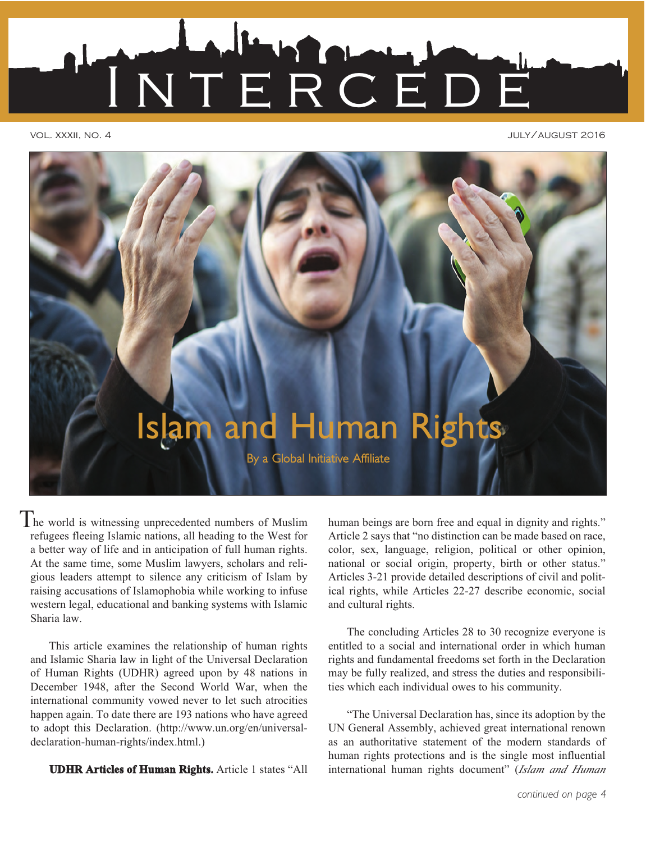# NTERCEDE

vol. xxxii, no. 4 july/august 2016



The world is witnessing unprecedented numbers of Muslim human beings are born free and equal in dignity and rights." refugees fleeing Islamic nations, all heading to the West for a better way of life and in anticipation of full human rights. At the same time, some Muslim lawyers, scholars and religious leaders attempt to silence any criticism of Islam by raising accusations of Islamophobia while working to infuse western legal, educational and banking systems with Islamic Sharia law.

This article examines the relationship of human rights and Islamic Sharia law in light of the Universal Declaration of Human Rights (UDHR) agreed upon by 48 nations in December 1948, after the Second World War, when the international community vowed never to let such atrocities happen again. To date there are 193 nations who have agreed to adopt this Declaration. (http://www.un.org/en/universaldeclaration-human-rights/index.html.)

**UDHR Articles of Human Rights.** Article 1 states "All

Article 2 says that "no distinction can be made based on race, color, sex, language, religion, political or other opinion, national or social origin, property, birth or other status." Articles 3-21 provide detailed descriptions of civil and political rights, while Articles 22-27 describe economic, social and cultural rights.

The concluding Articles 28 to 30 recognize everyone is entitled to a social and international order in which human rights and fundamental freedoms set forth in the Declaration may be fully realized, and stress the duties and responsibilities which each individual owes to his community.

"The Universal Declaration has, since its adoption by the UN General Assembly, achieved great international renown as an authoritative statement of the modern standards of human rights protections and is the single most influential international human rights document" (*Islam and Human*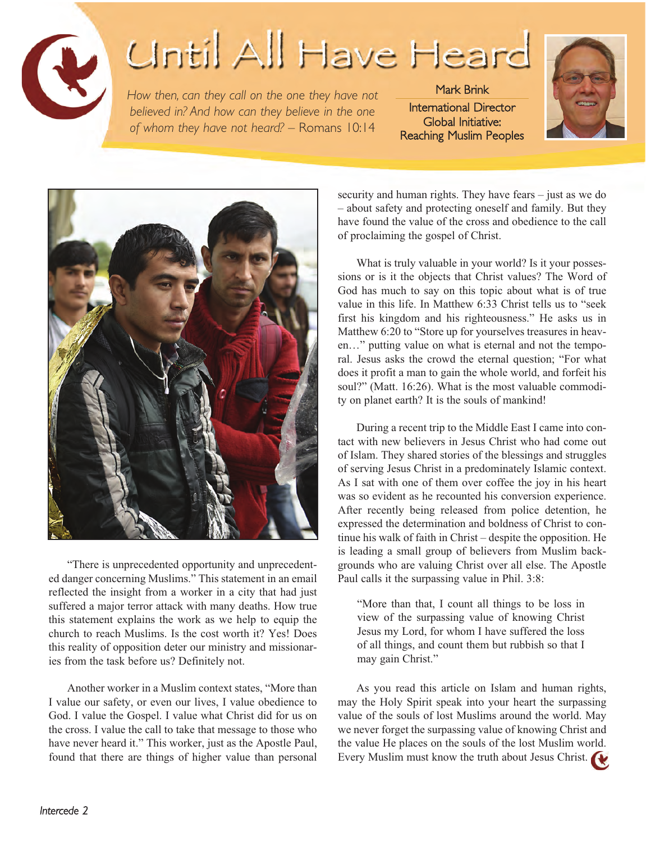

### Until All Have Heard

*How then, can they call on the one they have not believed in? And how can they believe in the one of whom they have not heard? –* Romans 10:14

Mark Brink International Director Global Initiative: Reaching Muslim Peoples





"There is unprecedented opportunity and unprecedented danger concerning Muslims." This statement in an email reflected the insight from a worker in a city that had just suffered a major terror attack with many deaths. How true this statement explains the work as we help to equip the church to reach Muslims. Is the cost worth it? Yes! Does this reality of opposition deter our ministry and missionaries from the task before us? Definitely not.

Another worker in a Muslim context states, "More than I value our safety, or even our lives, I value obedience to God. I value the Gospel. I value what Christ did for us on the cross. I value the call to take that message to those who have never heard it." This worker, just as the Apostle Paul, found that there are things of higher value than personal security and human rights. They have fears – just as we do – about safety and protecting oneself and family. But they have found the value of the cross and obedience to the call of proclaiming the gospel of Christ.

What is truly valuable in your world? Is it your possessions or is it the objects that Christ values? The Word of God has much to say on this topic about what is of true value in this life. In Matthew 6:33 Christ tells us to "seek first his kingdom and his righteousness." He asks us in Matthew 6:20 to "Store up for yourselves treasures in heaven…" putting value on what is eternal and not the temporal. Jesus asks the crowd the eternal question; "For what does it profit a man to gain the whole world, and forfeit his soul?" (Matt. 16:26). What is the most valuable commodity on planet earth? It is the souls of mankind!

During a recent trip to the Middle East I came into contact with new believers in Jesus Christ who had come out of Islam. They shared stories of the blessings and struggles of serving Jesus Christ in a predominately Islamic context. As I sat with one of them over coffee the joy in his heart was so evident as he recounted his conversion experience. After recently being released from police detention, he expressed the determination and boldness of Christ to continue his walk of faith in Christ – despite the opposition. He is leading a small group of believers from Muslim backgrounds who are valuing Christ over all else. The Apostle Paul calls it the surpassing value in Phil. 3:8:

"More than that, I count all things to be loss in view of the surpassing value of knowing Christ Jesus my Lord, for whom I have suffered the loss of all things, and count them but rubbish so that I may gain Christ."

As you read this article on Islam and human rights, may the Holy Spirit speak into your heart the surpassing value of the souls of lost Muslims around the world. May we never forget the surpassing value of knowing Christ and the value He places on the souls of the lost Muslim world. Every Muslim must know the truth about Jesus Christ.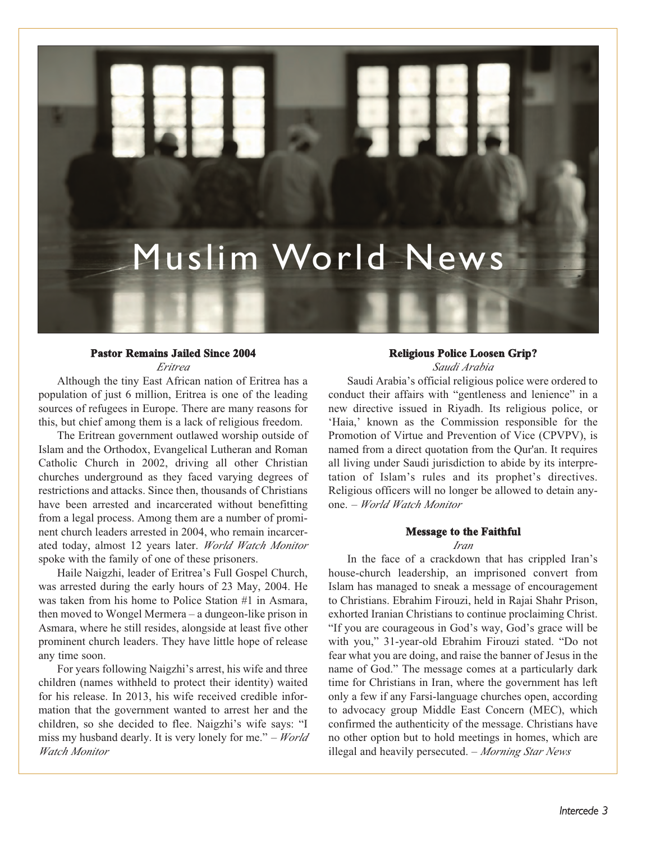### Muslim World News

**Pastor Remains Jailed Since 2004** *Eritrea*

Although the tiny East African nation of Eritrea has a population of just 6 million, Eritrea is one of the leading sources of refugees in Europe. There are many reasons for this, but chief among them is a lack of religious freedom.

The Eritrean government outlawed worship outside of Islam and the Orthodox, Evangelical Lutheran and Roman Catholic Church in 2002, driving all other Christian churches underground as they faced varying degrees of restrictions and attacks. Since then, thousands of Christians have been arrested and incarcerated without benefitting from a legal process. Among them are a number of prominent church leaders arrested in 2004, who remain incarcerated today, almost 12 years later. *World Watch Monitor* spoke with the family of one of these prisoners.

Haile Naigzhi, leader of Eritrea's Full Gospel Church, was arrested during the early hours of 23 May, 2004. He was taken from his home to Police Station #1 in Asmara, then moved to Wongel Mermera – a dungeon-like prison in Asmara, where he still resides, alongside at least five other prominent church leaders. They have little hope of release any time soon.

For years following Naigzhi's arrest, his wife and three children (names withheld to protect their identity) waited for his release. In 2013, his wife received credible information that the government wanted to arrest her and the children, so she decided to flee. Naigzhi's wife says: "I miss my husband dearly. It is very lonely for me." *– World Watch Monitor*

**Religious Police Loosen Grip?** *Saudi Arabia*

Saudi Arabia's official religious police were ordered to conduct their affairs with "gentleness and lenience" in a new directive issued in Riyadh. Its religious police, or 'Haia,' known as the Commission responsible for the Promotion of Virtue and Prevention of Vice (CPVPV), is named from a direct quotation from the Qur'an. It requires all living under Saudi jurisdiction to abide by its interpretation of Islam's rules and its prophet's directives. Religious officers will no longer be allowed to detain anyone. *– World Watch Monitor*

### **Message to the Faithful** *Iran*

In the face of a crackdown that has crippled Iran's house-church leadership, an imprisoned convert from Islam has managed to sneak a message of encouragement to Christians. Ebrahim Firouzi, held in Rajai Shahr Prison, exhorted Iranian Christians to continue proclaiming Christ. "If you are courageous in God's way, God's grace will be with you," 31-year-old Ebrahim Firouzi stated. "Do not fear what you are doing, and raise the banner of Jesus in the name of God." The message comes at a particularly dark time for Christians in Iran, where the government has left only a few if any Farsi-language churches open, according to advocacy group Middle East Concern (MEC), which confirmed the authenticity of the message. Christians have no other option but to hold meetings in homes, which are illegal and heavily persecuted. – *Morning Star News*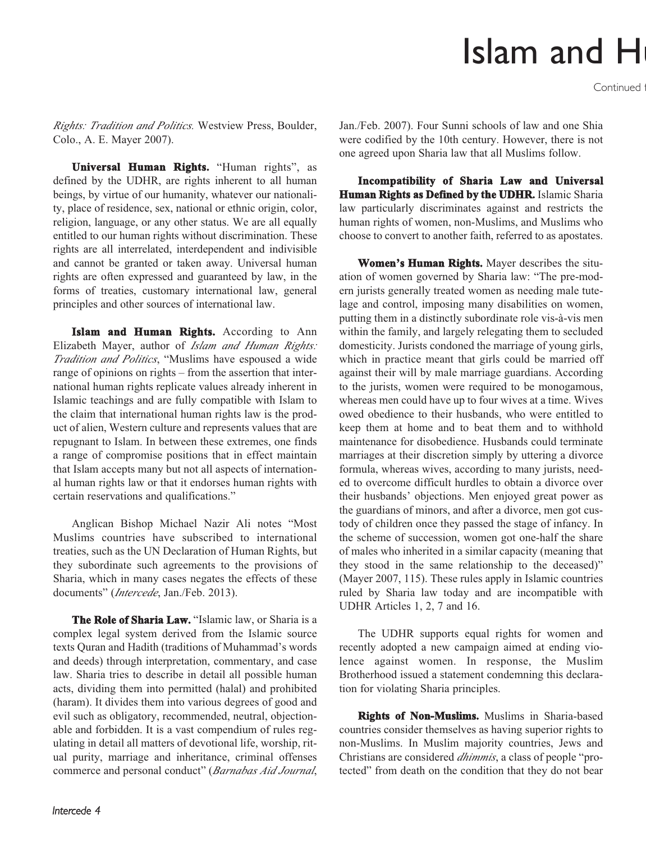### **Islam and H**

Continued f

*Rights: Tradition and Politics.* Westview Press, Boulder, Colo., A. E. Mayer 2007).

**Universal Human Rights.** "Human rights", as defined by the UDHR, are rights inherent to all human beings, by virtue of our humanity, whatever our nationality, place of residence, sex, national or ethnic origin, color, religion, language, or any other status. We are all equally entitled to our human rights without discrimination. These rights are all interrelated, interdependent and indivisible and cannot be granted or taken away. Universal human rights are often expressed and guaranteed by law, in the forms of treaties, customary international law, general principles and other sources of international law.

**Islam and Human Rights.** According to Ann Elizabeth Mayer, author of *Islam and Human Rights: Tradition and Politics*, "Muslims have espoused a wide range of opinions on rights – from the assertion that international human rights replicate values already inherent in Islamic teachings and are fully compatible with Islam to the claim that international human rights law is the product of alien, Western culture and represents values that are repugnant to Islam. In between these extremes, one finds a range of compromise positions that in effect maintain that Islam accepts many but not all aspects of international human rights law or that it endorses human rights with certain reservations and qualifications."

Anglican Bishop Michael Nazir Ali notes "Most Muslims countries have subscribed to international treaties, such as the UN Declaration of Human Rights, but they subordinate such agreements to the provisions of Sharia, which in many cases negates the effects of these documents" (*Intercede*, Jan./Feb. 2013).

**The Role of Sharia Law.** "Islamic law, or Sharia is a complex legal system derived from the Islamic source texts Quran and Hadith (traditions of Muhammad's words and deeds) through interpretation, commentary, and case law. Sharia tries to describe in detail all possible human acts, dividing them into permitted (halal) and prohibited (haram). It divides them into various degrees of good and evil such as obligatory, recommended, neutral, objectionable and forbidden. It is a vast compendium of rules regulating in detail all matters of devotional life, worship, ritual purity, marriage and inheritance, criminal offenses commerce and personal conduct" (*Barnabas Aid Journal*, Jan./Feb. 2007). Four Sunni schools of law and one Shia were codified by the 10th century. However, there is not one agreed upon Sharia law that all Muslims follow.

**Incomparison**<br> **Incomparison Rights as Defined by the UDHR.** Islamic Sharia<br>
law particularly discriminates against and restricts the law particularly discriminates against and restricts the human rights of women, non-Muslims, and Muslims who choose to convert to another faith, referred to as apostates.

**Women's Human Rights.** Mayer describes the situation of women governed by Sharia law: "The pre-modern jurists generally treated women as needing male tutelage and control, imposing many disabilities on women, putting them in a distinctly subordinate role vis-à-vis men within the family, and largely relegating them to secluded domesticity. Jurists condoned the marriage of young girls, which in practice meant that girls could be married off against their will by male marriage guardians. According to the jurists, women were required to be monogamous, whereas men could have up to four wives at a time. Wives owed obedience to their husbands, who were entitled to keep them at home and to beat them and to withhold maintenance for disobedience. Husbands could terminate marriages at their discretion simply by uttering a divorce formula, whereas wives, according to many jurists, needed to overcome difficult hurdles to obtain a divorce over their husbands' objections. Men enjoyed great power as the guardians of minors, and after a divorce, men got custody of children once they passed the stage of infancy. In the scheme of succession, women got one-half the share of males who inherited in a similar capacity (meaning that they stood in the same relationship to the deceased)" (Mayer 2007, 115). These rules apply in Islamic countries ruled by Sharia law today and are incompatible with UDHR Articles 1, 2, 7 and 16.

The UDHR supports equal rights for women and recently adopted a new campaign aimed at ending violence against women. In response, the Muslim Brotherhood issued a statement condemning this declaration for violating Sharia principles.

**Rights of Non-Muslims.** Muslims in Sharia-based countries consider themselves as having superior rights to non-Muslims. In Muslim majority countries, Jews and Christians are considered *dhimmis*, a class of people "protected" from death on the condition that they do not bear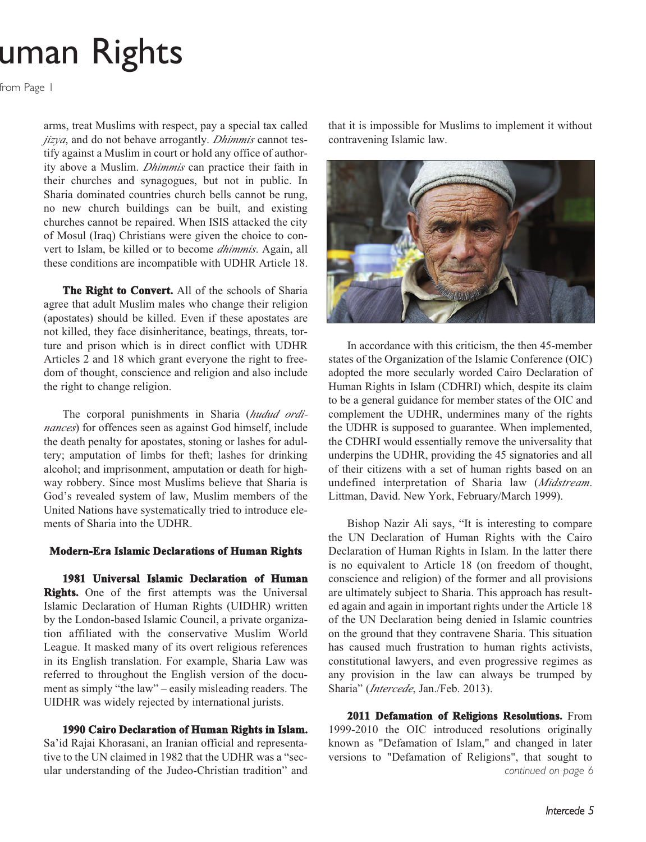### uman Rights

from Page 1

arms, treat Muslims with respect, pay a special tax called *jizya*, and do not behave arrogantly. *Dhimmis* cannot testify against a Muslim in court or hold any office of authority above a Muslim. *Dhimmis* can practice their faith in their churches and synagogues, but not in public. In Sharia dominated countries church bells cannot be rung, no new church buildings can be built, and existing churches cannot be repaired. When ISIS attacked the city of Mosul (Iraq) Christians were given the choice to convert to Islam, be killed or to become *dhimmis*. Again, all these conditions are incompatible with UDHR Article 18.

**The Right to Convert.** All of the schools of Sharia agree that adult Muslim males who change their religion (apostates) should be killed. Even if these apostates are not killed, they face disinheritance, beatings, threats, torture and prison which is in direct conflict with UDHR Articles 2 and 18 which grant everyone the right to freedom of thought, conscience and religion and also include the right to change religion.

The corporal punishments in Sharia (*hudud ordinances*) for offences seen as against God himself, include the death penalty for apostates, stoning or lashes for adultery; amputation of limbs for theft; lashes for drinking alcohol; and imprisonment, amputation or death for highway robbery. Since most Muslims believe that Sharia is God's revealed system of law, Muslim members of the United Nations have systematically tried to introduce elements of Sharia into the UDHR.

### **Modern-Era Islamic Declarations of Human Rights**

**1981 Universal Islamic Declaration of Human Rights.** *Checaration of Human Rights (HDHR)* written Islamic Declaration of Human Rights (UIDHR) written by the London-based Islamic Council, a private organization affiliated with the conservative Muslim World League. It masked many of its overt religious references in its English translation. For example, Sharia Law was referred to throughout the English version of the document as simply "the law" – easily misleading readers. The UIDHR was widely rejected by international jurists.

**1990 Cairo Declaration of Human Rights in Islam.** Sa'id Rajai Khorasani, an Iranian official and representative to the UN claimed in 1982 that the UDHR was a "secular understanding of the Judeo-Christian tradition" and that it is impossible for Muslims to implement it without contravening Islamic law.



In accordance with this criticism, the then 45-member states of the Organization of the Islamic Conference (OIC) adopted the more secularly worded Cairo Declaration of Human Rights in Islam (CDHRI) which, despite its claim to be a general guidance for member states of the OIC and complement the UDHR, undermines many of the rights the UDHR is supposed to guarantee. When implemented, the CDHRI would essentially remove the universality that underpins the UDHR, providing the 45 signatories and all of their citizens with a set of human rights based on an undefined interpretation of Sharia law (*Midstream*. Littman, David. New York, February/March 1999).

Bishop Nazir Ali says, "It is interesting to compare the UN Declaration of Human Rights with the Cairo Declaration of Human Rights in Islam. In the latter there is no equivalent to Article 18 (on freedom of thought, conscience and religion) of the former and all provisions are ultimately subject to Sharia. This approach has resulted again and again in important rights under the Article 18 of the UN Declaration being denied in Islamic countries on the ground that they contravene Sharia. This situation has caused much frustration to human rights activists, constitutional lawyers, and even progressive regimes as any provision in the law can always be trumped by Sharia" (*Intercede*, Jan./Feb. 2013).

**2011 Defamation of Religions Resolutions.** From 1999-2010 the OIC introduced resolutions originally known as "Defamation of Islam," and changed in later versions to "Defamation of Religions", that sought to *continued on page 6*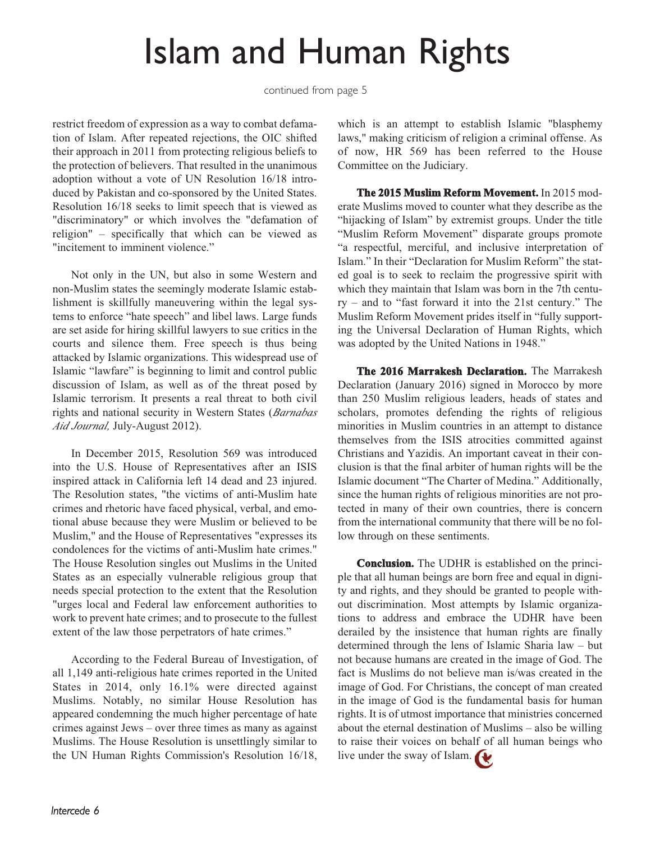### Islam and Human Rights

continued from page 5

restrict freedom of expression as a way to combat defamation of Islam. After repeated rejections, the OIC shifted their approach in 2011 from protecting religious beliefs to the protection of believers. That resulted in the unanimous adoption without a vote of UN Resolution 16/18 introduced by Pakistan and co-sponsored by the United States. Resolution 16/18 seeks to limit speech that is viewed as "discriminatory" or which involves the "defamation of religion" – specifically that which can be viewed as "incitement to imminent violence."

Not only in the UN, but also in some Western and non-Muslim states the seemingly moderate Islamic establishment is skillfully maneuvering within the legal systems to enforce "hate speech" and libel laws. Large funds are set aside for hiring skillful lawyers to sue critics in the courts and silence them. Free speech is thus being attacked by Islamic organizations. This widespread use of Islamic "lawfare" is beginning to limit and control public discussion of Islam, as well as of the threat posed by Islamic terrorism. It presents a real threat to both civil rights and national security in Western States (*Barnabas Aid Journal,* July-August 2012).

In December 2015, Resolution 569 was introduced into the U.S. House of Representatives after an ISIS inspired attack in California left 14 dead and 23 injured. The Resolution states, "the victims of anti-Muslim hate crimes and rhetoric have faced physical, verbal, and emotional abuse because they were Muslim or believed to be Muslim," and the House of Representatives "expresses its condolences for the victims of anti-Muslim hate crimes." The House Resolution singles out Muslims in the United States as an especially vulnerable religious group that needs special protection to the extent that the Resolution "urges local and Federal law enforcement authorities to work to prevent hate crimes; and to prosecute to the fullest extent of the law those perpetrators of hate crimes."

According to the Federal Bureau of Investigation, of all 1,149 anti-religious hate crimes reported in the United States in 2014, only 16.1% were directed against Muslims. Notably, no similar House Resolution has appeared condemning the much higher percentage of hate crimes against Jews – over three times as many as against Muslims. The House Resolution is unsettlingly similar to the UN Human Rights Commission's Resolution 16/18, which is an attempt to establish Islamic "blasphemy laws," making criticism of religion a criminal offense. As of now, HR 569 has been referred to the House Committee on the Judiciary.

**The 2015 Muslim Reform Movement.** In 2015 moderate Muslims moved to counter what they describe as the "hijacking of Islam" by extremist groups. Under the title "Muslim Reform Movement" disparate groups promote "a respectful, merciful, and inclusive interpretation of Islam." In their "Declaration for Muslim Reform" the stated goal is to seek to reclaim the progressive spirit with which they maintain that Islam was born in the 7th century – and to "fast forward it into the 21st century." The Muslim Reform Movement prides itself in "fully supporting the Universal Declaration of Human Rights, which was adopted by the United Nations in 1948."

**The 2016 Marrakesh Declaration.** The Marrakesh Declaration (January 2016) signed in Morocco by more than 250 Muslim religious leaders, heads of states and scholars, promotes defending the rights of religious minorities in Muslim countries in an attempt to distance themselves from the ISIS atrocities committed against Christians and Yazidis. An important caveat in their conclusion is that the final arbiter of human rights will be the Islamic document "The Charter of Medina." Additionally, since the human rights of religious minorities are not protected in many of their own countries, there is concern from the international community that there will be no follow through on these sentiments.

**Conclusion.** The UDHR is established on the principle that all human beings are born free and equal in dignity and rights, and they should be granted to people without discrimination. Most attempts by Islamic organizations to address and embrace the UDHR have been derailed by the insistence that human rights are finally determined through the lens of Islamic Sharia law – but not because humans are created in the image of God. The fact is Muslims do not believe man is/was created in the image of God. For Christians, the concept of man created in the image of God is the fundamental basis for human rights. It is of utmost importance that ministries concerned about the eternal destination of Muslims – also be willing to raise their voices on behalf of all human beings who live under the sway of Islam.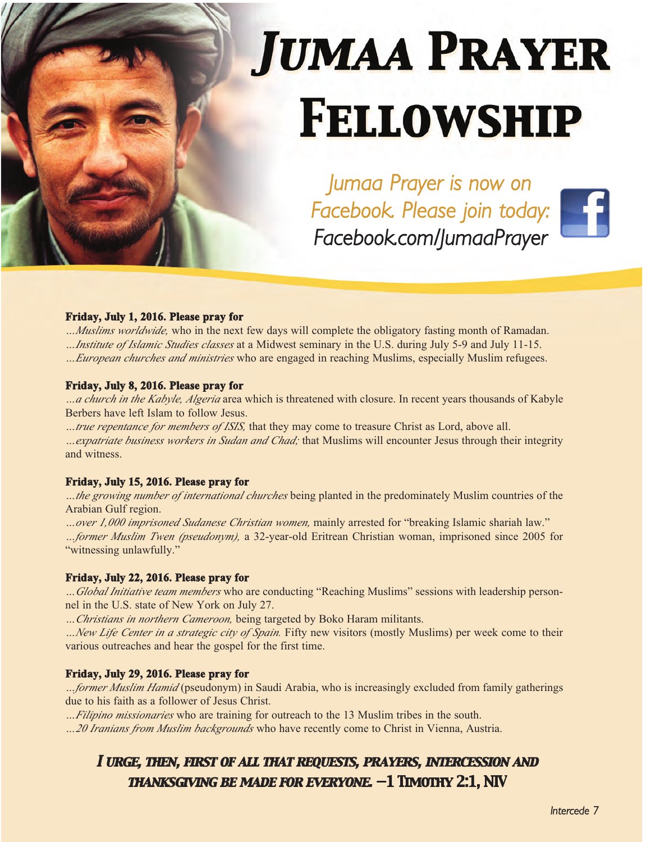# **JUMAA PRAYER FELLOWSHIP**

*Jumaa Prayer is now on Facebook. Please join today: Facebook.com/JumaaPrayer*



**Friday, July 1, 2016. Please pray for** *…Muslims worldwide,* who in the next few days will complete the obligatory fasting month of Ramadan. *…Institute of Islamic Studies classes* at a Midwest seminary in the U.S. during July 5-9 and July 11-15. *…European churches and ministries* who are engaged in reaching Muslims, especially Muslim refugees.

**Friday, July 8, 2016. Please pray for** *…a church in the Kabyle, Algeria* area which is threatened with closure. In recent years thousands of Kabyle Berbers have left Islam to follow Jesus.

*…true repentance for members of ISIS,* that they may come to treasure Christ as Lord, above all. *…expatriate business workers in Sudan and Chad;* that Muslims will encounter Jesus through their integrity and witness.

**Friday, July 15, 2016. Please pray for** *…the growing number of international churches* being planted in the predominately Muslim countries of the Arabian Gulf region.

*…over 1,000 imprisoned Sudanese Christian women,* mainly arrested for "breaking Islamic shariah law." *…former Muslim Twen (pseudonym),* a 32-year-old Eritrean Christian woman, imprisoned since 2005 for "witnessing unlawfully."

**Friday, July 22, 2016. Please pray for** *…Global Initiative team members* who are conducting "Reaching Muslims" sessions with leadership personnel in the U.S. state of New York on July 27.

*…Christians in northern Cameroon,* being targeted by Boko Haram militants.

*…New Life Center in a strategic city of Spain.* Fifty new visitors (mostly Muslims) per week come to their various outreaches and hear the gospel for the first time.

**Friday, July 29, 2016. Please pray for** *…former Muslim Hamid* (pseudonym) in Saudi Arabia, who is increasingly excluded from family gatherings due to his faith as a follower of Jesus Christ.

*…Filipino missionaries* who are training for outreach to the 13 Muslim tribes in the south.

*…20 Iranians from Muslim backgrounds* who have recently come to Christ in Vienna, Austria.

### *I urge, then, first of all that requests, prayers, intercession and thanksgiving be made for everyone. — 1 Timothy 2:1, NIV*